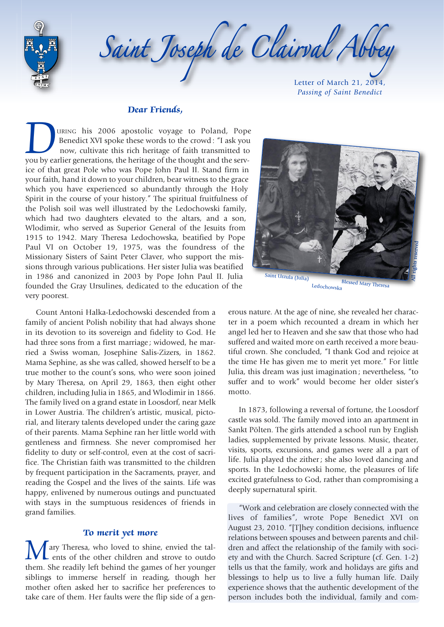



Letter of March 21, 2014, *Passing of Saint Benedict* 

#### **Dear Friends,**

**Dear Friends,**<br>URING his 2006 apostolic voyage to Poland, Pope<br>Benedict XVI spoke these words to the crowd: "I ask you<br>now, cultivate this rich heritage of faith transmitted to Benedict XVI spoke these words to the crowd : "I ask you now, cultivate this rich heritage of faith transmitted to you by earlier generations, the heritage of the thought and the service of that great Pole who was Pope John Paul II. Stand firm in your faith, hand it down to your children, bear witness to the grace which you have experienced so abundantly through the Holy Spirit in the course of your history." The spiritual fruitfulness of the Polish soil was well illustrated by the Ledochowski family, which had two daughters elevated to the altars, and a son, Wlodimir, who served as Superior General of the Jesuits from 1915 to 1942. Mary Theresa Ledochowska, beatified by Pope Paul VI on October 19, 1975, was the foundress of the Missionary Sisters of Saint Peter Claver, who support the missions through various publications. Her sister Julia was beatified in 1986 and canonized in 2003 by Pope John Paul II. Julia founded the Gray Ursulines, dedicated to the education of the very poorest.

Count Antoni Halka-Ledochowski descended from a family of ancient Polish nobility that had always shone in its devotion to its sovereign and fidelity to God. He had three sons from a first marriage ; widowed, he married a Swiss woman, Josephine Salis-Zizers, in 1862. Mama Sephine, as she was called, showed herself to be a true mother to the count's sons, who were soon joined by Mary Theresa, on April 29, 1863, then eight other children, including Julia in 1865, and Wlodimir in 1866. The family lived on a grand estate in Loosdorf, near Melk in Lower Austria. The children's artistic, musical, pictorial, and literary talents developed under the caring gaze of their parents. Mama Sephine ran her little world with gentleness and firmness. She never compromised her fidelity to duty or self-control, even at the cost of sacrifice. The Christian faith was transmitted to the children by frequent participation in the Sacraments, prayer, and reading the Gospel and the lives of the saints. Life was happy, enlivened by numerous outings and punctuated with stays in the sumptuous residences of friends in grand families.

### **To merit yet more**

ary Theresa, who loved to shine, envied the talents of the other children and strove to outdo them. She readily left behind the games of her younger siblings to immerse herself in reading, though her mother often asked her to sacrifice her preferences to take care of them. Her faults were the flip side of a gen-



Ledochowska

erous nature. At the age of nine, she revealed her character in a poem which recounted a dream in which her angel led her to Heaven and she saw that those who had suffered and waited more on earth received a more beautiful crown. She concluded, "I thank God and rejoice at the time He has given me to merit yet more." For little Julia, this dream was just imagination ; nevertheless, "to suffer and to work" would become her older sister's motto.

In 1873, following a reversal of fortune, the Loosdorf castle was sold. The family moved into an apartment in Sankt Pölten. The girls attended a school run by English ladies, supplemented by private lessons. Music, theater, visits, sports, excursions, and games were all a part of life. Julia played the zither ; she also loved dancing and sports. In the Ledochowski home, the pleasures of life excited gratefulness to God, rather than compromising a deeply supernatural spirit.

"Work and celebration are closely connected with the lives of families", wrote Pope Benedict XVI on August 23, 2010. "[T]hey condition decisions, influence relations between spouses and between parents and children and affect the relationship of the family with society and with the Church. Sacred Scripture (cf. Gen. 1-2) tells us that the family, work and holidays are gifts and blessings to help us to live a fully human life. Daily experience shows that the authentic development of the person includes both the individual, family and com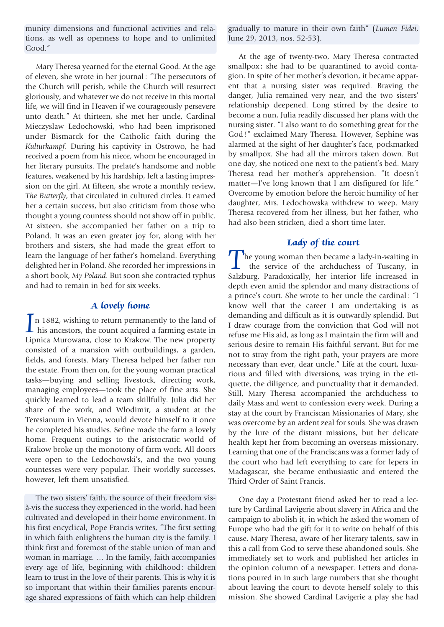munity dimensions and functional activities and relations, as well as openness to hope and to unlimited Good."

Mary Theresa yearned for the eternal Good. At the age of eleven, she wrote in her journal : "The persecutors of the Church will perish, while the Church will resurrect gloriously, and whatever we do not receive in this mortal life, we will find in Heaven if we courageously persevere unto death." At thirteen, she met her uncle, Cardinal Mieczyslaw Ledochowski, who had been imprisoned under Bismarck for the Catholic faith during the *Kulturkampf*. During his captivity in Ostrowo, he had received a poem from his niece, whom he encouraged in her literary pursuits. The prelate's handsome and noble features, weakened by his hardship, left a lasting impression on the girl. At fifteen, she wrote a monthly review, *The Butterfly*, that circulated in cultured circles. It earned her a certain success, but also criticism from those who thought a young countess should not show off in public. At sixteen, she accompanied her father on a trip to Poland. It was an even greater joy for, along with her brothers and sisters, she had made the great effort to learn the language of her father's homeland. Everything delighted her in Poland. She recorded her impressions in a short book, *My Poland*. But soon she contracted typhus and had to remain in bed for six weeks.

## **A lovely home**

**A lovely home**<br>
In 1882, wishing to return permanently to the land of<br>
his ancestors, the count acquired a farming estate in Lipnica Murowana, close to Krakow. The new property consisted of a mansion with outbuildings, a garden, fields, and forests. Mary Theresa helped her father run the estate. From then on, for the young woman practical tasks—buying and selling livestock, directing work, managing employees—took the place of fine arts. She quickly learned to lead a team skillfully. Julia did her share of the work, and Wlodimir, a student at the Teresianum in Vienna, would devote himself to it once he completed his studies. Sefine made the farm a lovely home. Frequent outings to the aristocratic world of Krakow broke up the monotony of farm work. All doors were open to the Ledochowski's, and the two young countesses were very popular. Their worldly successes, however, left them unsatisfied.

The two sisters' faith, the source of their freedom visà-vis the success they experienced in the world, had been cultivated and developed in their home environment. In his first encyclical, Pope Francis writes, "The first setting in which faith enlightens the human city is the family. I think first and foremost of the stable union of man and woman in marriage. … In the family, faith accompanies every age of life, beginning with childhood : children learn to trust in the love of their parents. This is why it is so important that within their families parents encourage shared expressions of faith which can help children gradually to mature in their own faith" (*Lumen Fidei*, June 29, 2013, nos. 52-53).

At the age of twenty-two, Mary Theresa contracted smallpox; she had to be quarantined to avoid contagion. In spite of her mother's devotion, it became apparent that a nursing sister was required. Braving the danger, Julia remained very near, and the two sisters' relationship deepened. Long stirred by the desire to become a nun, Julia readily discussed her plans with the nursing sister. "I also want to do something great for the God !" exclaimed Mary Theresa. However, Sephine was alarmed at the sight of her daughter's face, pockmarked by smallpox. She had all the mirrors taken down. But one day, she noticed one next to the patient's bed. Mary Theresa read her mother's apprehension. "It doesn't matter—I've long known that I am disfigured for life." Overcome by emotion before the heroic humility of her daughter, Mrs. Ledochowska withdrew to weep. Mary Theresa recovered from her illness, but her father, who had also been stricken, died a short time later.

# **Lady of the court**

The young woman then became a lady-in-waiting in the service of the archduchess of Tuscany, in Salzburg. Paradoxically, her interior life increased in depth even amid the splendor and many distractions of a prince's court. She wrote to her uncle the cardinal : "I know well that the career I am undertaking is as demanding and difficult as it is outwardly splendid. But I draw courage from the conviction that God will not refuse me His aid, as long as I maintain the firm will and serious desire to remain His faithful servant. But for me not to stray from the right path, your prayers are more necessary than ever, dear uncle." Life at the court, luxurious and filled with diversions, was trying in the etiquette, the diligence, and punctuality that it demanded. Still, Mary Theresa accompanied the archduchess to daily Mass and went to confession every week. During a stay at the court by Franciscan Missionaries of Mary, she was overcome by an ardent zeal for souls. She was drawn by the lure of the distant missions, but her delicate health kept her from becoming an overseas missionary. Learning that one of the Franciscans was a former lady of the court who had left everything to care for lepers in Madagascar, she became enthusiastic and entered the Third Order of Saint Francis.

One day a Protestant friend asked her to read a lecture by Cardinal Lavigerie about slavery in Africa and the campaign to abolish it, in which he asked the women of Europe who had the gift for it to write on behalf of this cause. Mary Theresa, aware of her literary talents, saw in this a call from God to serve these abandoned souls. She immediately set to work and published her articles in the opinion column of a newspaper. Letters and donations poured in in such large numbers that she thought about leaving the court to devote herself solely to this mission. She showed Cardinal Lavigerie a play she had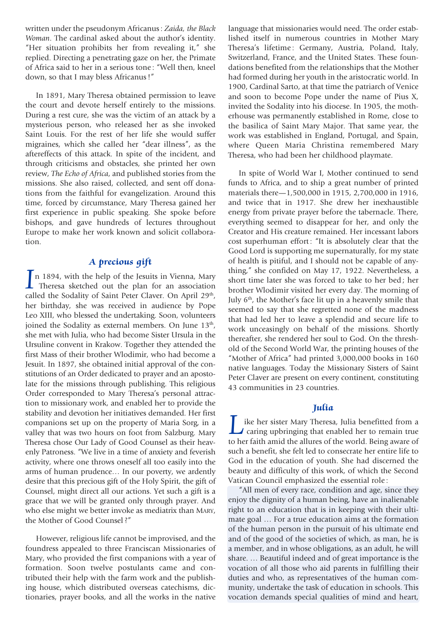written under the pseudonym Africanus : *Zaida, the Black Woman*. The cardinal asked about the author's identity. "Her situation prohibits her from revealing it," she replied. Directing a penetrating gaze on her, the Primate of Africa said to her in a serious tone : "Well then, kneel down, so that I may bless Africanus !"

In 1891, Mary Theresa obtained permission to leave the court and devote herself entirely to the missions. During a rest cure, she was the victim of an attack by a mysterious person, who released her as she invoked Saint Louis. For the rest of her life she would suffer migraines, which she called her "dear illness", as the aftereffects of this attack. In spite of the incident, and through criticisms and obstacles, she printed her own review, *The Echo of Africa*, and published stories from the missions. She also raised, collected, and sent off donations from the faithful for evangelization. Around this time, forced by circumstance, Mary Theresa gained her first experience in public speaking. She spoke before bishops, and gave hundreds of lectures throughout Europe to make her work known and solicit collaboration.

## **A precious gift**

**A precious gift**<br> **Theresa** sketched out the plan for an association<br> **Theresa** sketched out the plan for an association called the Sodality of Saint Peter Claver. On April 29<sup>th</sup>, her birthday, she was received in audience by Pope Leo XIII, who blessed the undertaking. Soon, volunteers joined the Sodality as external members. On June 13<sup>th</sup>, she met with Julia, who had become Sister Ursula in the Ursuline convent in Krakow. Together they attended the first Mass of their brother Wlodimir, who had become a Jesuit. In 1897, she obtained initial approval of the constitutions of an Order dedicated to prayer and an apostolate for the missions through publishing. This religious Order corresponded to Mary Theresa's personal attraction to missionary work, and enabled her to provide the stability and devotion her initiatives demanded. Her first companions set up on the property of Maria Sorg, in a valley that was two hours on foot from Salzburg. Mary Theresa chose Our Lady of Good Counsel as their heavenly Patroness. "We live in a time of anxiety and feverish activity, where one throws oneself all too easily into the arms of human prudence… In our poverty, we ardently desire that this precious gift of the Holy Spirit, the gift of Counsel, might direct all our actions. Yet such a gift is a grace that we will be granted only through prayer. And who else might we better invoke as mediatrix than MARY, the Mother of Good Counsel ?"

However, religious life cannot be improvised, and the foundress appealed to three Franciscan Missionaries of Mary, who provided the first companions with a year of formation. Soon twelve postulants came and contributed their help with the farm work and the publishing house, which distributed overseas catechisms, dictionaries, prayer books, and all the works in the native

language that missionaries would need. The order established itself in numerous countries in Mother Mary Theresa's lifetime: Germany, Austria, Poland, Italy, Switzerland, France, and the United States. These foundations benefited from the relationships that the Mother had formed during her youth in the aristocratic world. In 1900, Cardinal Sarto, at that time the patriarch of Venice and soon to become Pope under the name of Pius X, invited the Sodality into his diocese. In 1905, the motherhouse was permanently established in Rome, close to the basilica of Saint Mary Major. That same year, the work was established in England, Portugal, and Spain, where Queen Maria Christina remembered Mary Theresa, who had been her childhood playmate.

In spite of World War I, Mother continued to send funds to Africa, and to ship a great number of printed materials there—1,500,000 in 1915, 2,700,000 in 1916, and twice that in 1917. She drew her inexhaustible energy from private prayer before the tabernacle. There, everything seemed to disappear for her, and only the Creator and His creature remained. Her incessant labors cost superhuman effort : "It is absolutely clear that the Good Lord is supporting me supernaturally, for my state of health is pitiful, and I should not be capable of anything," she confided on May 17, 1922. Nevertheless, a short time later she was forced to take to her bed ; her brother Wlodimir visited her every day. The morning of July 6<sup>th</sup>, the Mother's face lit up in a heavenly smile that seemed to say that she regretted none of the madness that had led her to leave a splendid and secure life to work unceasingly on behalf of the missions. Shortly thereafter, she rendered her soul to God. On the threshold of the Second World War, the printing houses of the "Mother of Africa" had printed 3,000,000 books in 160 native languages. Today the Missionary Sisters of Saint Peter Claver are present on every continent, constituting 43 communities in 23 countries.

### **Julia**

Julia<br>Like her sister Mary Theresa, Julia benefitted from a<br>caring upbringing that enabled her to remain true to her faith amid the allures of the world. Being aware of such a benefit, she felt led to consecrate her entire life to God in the education of youth. She had discerned the beauty and difficulty of this work, of which the Second Vatican Council emphasized the essential role :

"All men of every race, condition and age, since they enjoy the dignity of a human being, have an inalienable right to an education that is in keeping with their ultimate goal … For a true education aims at the formation of the human person in the pursuit of his ultimate end and of the good of the societies of which, as man, he is a member, and in whose obligations, as an adult, he will share. … Beautiful indeed and of great importance is the vocation of all those who aid parents in fulfilling their duties and who, as representatives of the human community, undertake the task of education in schools. This vocation demands special qualities of mind and heart,